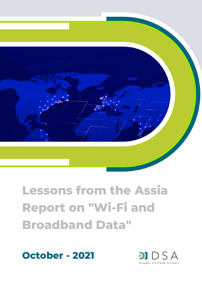

# **Lessons from the Assia Report on "Wi-Fi and Broadband Data"**



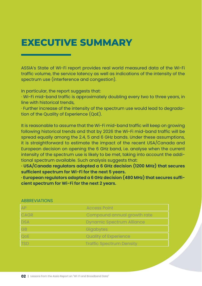#### **EXECUTIVE SUMMARY**

ASSIA's State of Wi-Fi report provides real world measured data of the Wi-Fi traffic volume, the service latency as well as indications of the intensity of the spectrum use (interference and congestion).

In particular, the report suggests that:

· Wi-Fi mid-band traffic is approximately doubling every two to three years, in line with historical trends,

· Further increase of the intensity of the spectrum use would lead to degradation of the Quality of Experience (QoE).

It is reasonable to assume that the Wi-Fi mid-band traffic will keep on growing following historical trends and that by 2026 the Wi-Fi mid-band traffic will be spread equally among the 2.4, 5 and 6 GHz bands. Under these assumptions, it is straightforward to estimate the impact of the recent USA/Canada and European decision on opening the 6 GHz band, i.e. analyse when the current intensity of the spectrum use is likely to be met, taking into account the additional spectrum available. Such analysis suggests that:

**· USA/Canada regulators adopted a 6 GHz decision (1200 MHz) that secures sufficient spectrum for Wi-Fi for the next 5 years.**

**· European regulators adopted a 6 GHz decision (480 MHz) that secures sufficient spectrum for Wi-Fi for the next 2 years.**

| AP          | <b>Access Point</b>              |
|-------------|----------------------------------|
| <b>CAGR</b> | Compound annual growth rate      |
| <b>DSA</b>  | <b>Dynamic Spectrum Alliance</b> |
| <b>GB</b>   | Gigabytes                        |
| QOE         | <b>Quality of Experience</b>     |
| TSD         | <b>Traffic Spectrum Density</b>  |

#### **ABBREVIATIONS**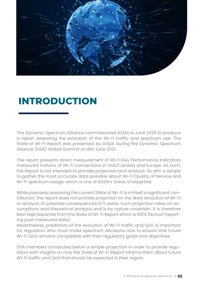

#### **INTRODUCTION**

The Dynamic Spectrum Alliance commissioned ASSIA in June 2020 to produce a report assessing the evolution of the Wi-Fi traffic and spectrum use. The State of Wi-Fi Report was presented by ASSIA during the Dynamic Spectrum Alliance (DSA) Global Summit on 8th June 2021.

The report presents direct measurement of Wi-Fi Key Performance Indicators measured millions of Wi-Fi connections in USA/Canada and Europe. As such, the Report is not intended to provide projection and analysis. Its aim is simply to gather the most accurate data possible about Wi-Fi Quality of Service and Wi-Fi spectrum usage, which is one of ASSIA's areas of expertise.

While precisely assessing the current State of Wi-Fi is in itself a significant contribution, the report does not provide projection on the likely evolution of Wi-Fi or analysis of potential consequences in 5 years. Such projection relies on assumptions and theoretical analysis and is by nature uncertain. It is therefore best kept separate from the State of Wi-Fi Report which is 100% factual (reporting past measured data).

Nevertheless, prediction of the evolution of Wi-Fi traffic and QoS is important for regulators who must make spectrum decisions now to ensure that future Wi-Fi QoS remains compatible with their regulatory goals and objectives.

DSA members conducted below a simple projection in order to provide regulators with insights on how the State of Wi-Fi Report informs them about future Wi-Fi traffic and QoS that should be expected in their region.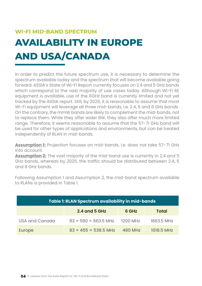### **AVAILABILITY IN EUROPE AND USA/CANADA WI-FI MID-BAND SPECTRUM**

In order to predict the future spectrum use, it is necessary to determine the spectrum available today and the spectrum that will become available going forward. ASSIA's State of Wi-Fi Report currently focuses on 2.4 and 5 GHz bands which correspond to the vast majority of use cases today. Although Wi-Fi 6E equipment is available, use of the 6GHz band is currently limited and not yet tracked by the ASSIA report. Still, by 2025, it is reasonable to assume that most Wi-Fi equipment will leverage all three mid-bands, i.e. 2.4, 5 and 6 GHz bands. On the contrary, the mmW bands are likely to complement the mid-bands, not to replace them. While they offer wider BW, they also offer much more limited range. Therefore, it seems reasonable to assume that the 57-71 GHz band will be used for other types of applications and environments, but can be treated independently of RLAN in mid-bands.

**Assumption 1:** Projection focuses on mid-bands, i.e. does not take 57-71 GHz into account.

**Assumption 2:** The vast majority of the mid-band use is currently in 2.4 and 5 GHz bands, whereas by 2025, the traffic should be distributed between 2.4, 5 and 6 GHz bands.

Following Assumption 1 and Assumption 2, the mid-band spectrum available to RLANs is provided in Table 1.

| Table 1: RLAN Spectrum availability in mid-bands |                                 |                |              |  |  |  |
|--------------------------------------------------|---------------------------------|----------------|--------------|--|--|--|
|                                                  | <b>2.4 and 5 GHz</b>            | 6 GHz          | <b>Total</b> |  |  |  |
| USA and Canada                                   | $83 + 580 = 663.5$ MHz 1200 MHz |                | 1863.5 MHz   |  |  |  |
| <b>Europe</b>                                    | $83 + 455 = 538.5$ MHz          | <b>480 MHz</b> | 1018.5 MHz   |  |  |  |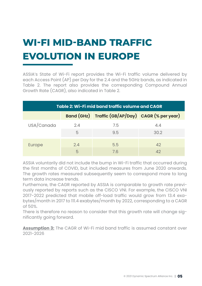## **WI-FI MID-BAND TRAFFIC EVOLUTION IN EUROPE**

ASSIA's State of Wi-Fi report provides the Wi-Fi traffic volume delivered by each Access Point (AP) per Day for the 2.4 and the 5GHz bands, as indicated in Table 2. The report also provides the corresponding Compound Annual Growth Rate (CAGR), also indicated in Table 2.

| Table 2: Wi-Fi mid band traffic volume and CAGR |          |                                                  |             |  |  |  |
|-------------------------------------------------|----------|--------------------------------------------------|-------------|--|--|--|
|                                                 |          | Band (GHz) Traffic (GB/AP/Day) CAGR (% per year) |             |  |  |  |
| USA/Canada                                      | 2.4<br>5 | 7.5<br>9.5                                       | 4.4<br>30.2 |  |  |  |
|                                                 |          |                                                  |             |  |  |  |
| Europe                                          | 2.4      | 5.5                                              | 42          |  |  |  |
|                                                 | 5        | 7.6                                              | 42          |  |  |  |

ASSIA voluntarily did not include the bump in Wi-Fi traffic that occurred during the first months of COVID, but included measures from June 2020 onwards. The growth rates measured subsequently seem to correspond more to long term data increase trends.

Furthemore, the CAGR reported by ASSIA is comparable to growth rate previously reported by reports such as the CISCO VNI. For example, the CISCO VNI 2017-2022 predicted that mobile off-load traffic would grow from 13.4 exabytes/month in 2017 to 111.4 exabytes/month by 2022, corresponding to a CAGR of 50%.

There is therefore no reason to consider that this growth rate will change significantly going forward.

**Assumption 3:** The CAGR of Wi-Fi mid band traffic is assumed constant over 2021-2026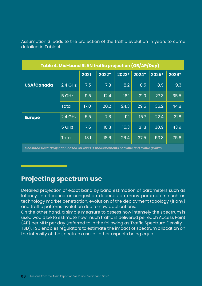Assumption 3 leads to the projection of the traffic evolution in years to come detailed in Table 4.

| Table 4: Mid-band RLAN traffic projection (GB/AP/Day) |              |      |       |       |       |       |                   |
|-------------------------------------------------------|--------------|------|-------|-------|-------|-------|-------------------|
|                                                       |              | 2021 | 2022* | 2023* | 2024* | 2025* | 2026*             |
| USA/Canada                                            | 2.4 GHz      | 7.5  | 7.8   | 8.2   | 8.5   | 8.9   | 9.3               |
|                                                       | 5 GHz        | 9.5  | 12.4  | 16.1  | 21.0  | 27.3  | 35.5              |
|                                                       | <b>Total</b> | 17.0 | 20.2  | 24.3  | 29.5  | 36.2  | 44.8              |
| <b>Europe</b>                                         | $2.4$ GHz    | 5.5  | 7.8   | 11.1  | 15.7  | 22.4  | 31.8              |
|                                                       | 5 GHz        | 7.6  | 10.8  | 15.3  | 21.8  | 30.9  | 43.9              |
|                                                       | <b>Total</b> | 13.1 | 18.6  | 26.4  | 37.5  | 53.3  | $75.\overline{6}$ |

*Measured Data \*Projection based on ASSIA's measurements of traffic and traffic growth*

#### **Projecting spectrum use**

Detailed projection of exact band by band estimation of parameters such as latency, interference or congestion depends on many parameters such as technology market penetration, evolution of the deployment topology (if any) and traffic patterns evolution due to new applications.

On the other hand, a simple measure to assess how intensely the spectrum is used would be to estimate how much traffic is delivered per each Access Point (AP) per MHz per day (referred to in the following as Traffic Spectrum Density - TSD). TSD enables regulators to estimate the impact of spectrum allocation on the intensity of the spectrum use, all other aspects being equal.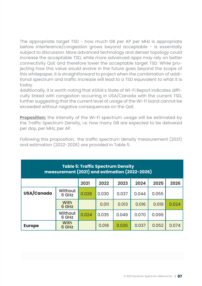The appropriate target TSD - how much GB per AP per MHz is appropriate before interference/congestion grows beyond acceptable - is essentially subject to discussion. More advanced technology and denser topology could increase the acceptable TSD, while more advanced apps may rely on better connectivity QoE and therefore lower the acceptable target TSD. While projecting how this value would evolve in the future goes beyond the scope of this whitepaper, it is straightforward to project when the combination of additional spectrum and traffic increase will lead to a TSD equivalent to what it is today.

Additionally, it is worth noting that ASSIA's State of Wi-Fi Report indicates difficulty linked with congestion occurring in USA/Canada with the current TSD, further suggesting that the current level of usage of the Wi-Fi band cannot be exceeded without negative consequences on the QoE.

**Proposition:** the intensity of the Wi-Fi spectrum usage will be estimated by the Traffic Spectrum Density, i.e. how many GB are expected to be delivered per day, per MHz, per AP.

Following this proposition, the traffic spectrum density measurement (2021) and estimation (2022-2026) are provided in Table 5.

| <b>Table 5: Traffic Spectrum Density</b><br>measurement (2021) and estimation (2022-2026) |                      |       |       |       |       |       |       |
|-------------------------------------------------------------------------------------------|----------------------|-------|-------|-------|-------|-------|-------|
|                                                                                           |                      | 2021  | 2022  | 2023  | 2024  | 2025  | 2026  |
| USA/Canada                                                                                | Without<br>6 GHz     | 0.026 | 0.030 | 0.037 | 0.044 | 0.055 |       |
|                                                                                           | <b>With</b><br>6 GHz |       | 0.011 | 0.013 | 0.016 | 0.019 | 0.024 |
|                                                                                           | Without<br>6 GHz     | 0.024 | 0.035 | 0.049 | 0.070 | 0.099 |       |
| <b>Europe</b>                                                                             | <b>With</b><br>6 GHz |       | 0.018 | 0.026 | 0.037 | 0.052 | 0.074 |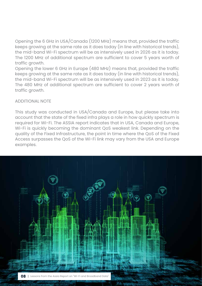Opening the 6 GHz in USA/Canada (1200 MHz) means that, provided the traffic keeps growing at the same rate as it does today (in line with historical trends), the mid-band Wi-Fi spectrum will be as intensively used in 2026 as it is today. The 1200 MHz of additional spectrum are sufficient to cover 5 years worth of traffic growth.

Opening the lower 6 GHz in Europe (480 MHz) means that, provided the traffic keeps growing at the same rate as it does today (in line with historical trends), the mid-band Wi-Fi spectrum will be as intensively used in 2023 as it is today. The 480 MHz of additional spectrum are sufficient to cover 2 years worth of traffic growth.

ADDITIONAL NOTE

This study was conducted in USA/Canada and Europe, but please take into account that the state of the fixed infra plays a role in how quickly spectrum is required for Wi-Fi. The ASSIA report indicates that in USA, Canada and Europe, Wi-Fi is quickly becoming the dominant QoS weakest link. Depending on the quality of the Fixed Infrastructure, the point in time where the QoS of the Fixed Access surpasses the QoS of the Wi-Fi link may vary from the USA and Europe examples.

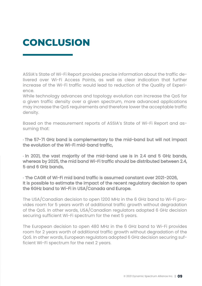### **CONCLUSION**

ASSIA's State of Wi-Fi Report provides precise information about the traffic delivered over Wi-Fi Access Points, as well as clear indication that further increase of the Wi-Fi traffic would lead to reduction of the Quality of Experience.

While technology advances and topology evolution can increase the QoS for a given traffic density over a given spectrum, more advanced applications may increase the QoS requirements and therefore lower the acceptable traffic density.

Based on the measurement reports of ASSIA's State of Wi-Fi Report and assuming that:

· The 57-71 GHz band is complementary to the mid-band but will not impact the evolution of the Wi-Fi mid-band traffic,

· In 2021, the vast majority of the mid-band use is in 2.4 and 5 GHz bands, whereas by 2025, the mid band Wi-Fi traffic should be distributed between 2.4, 5 and 6 GHz bands,

· The CAGR of Wi-Fi mid band traffic is assumed constant over 2021-2026, It is possible to estimate the impact of the recent regulatory decision to open the 6GHz band to Wi-Fi in USA/Canada and Europe.

The USA/Canadian decision to open 1200 MHz in the 6 GHz band to Wi-Fi provides room for 5 years worth of additional traffic growth without degradation of the QoS. In other words, USA/Canadian regulators adopted 6 GHz decision securing sufficient Wi-Fi spectrum for the next 5 years.

The European decision to open 480 MHz in the 6 GHz band to Wi-Fi provides room for 2 years worth of additional traffic growth without degradation of the QoS. In other words, European regulators adopted 6 GHz decision securing sufficient Wi-Fi spectrum for the next 2 years.